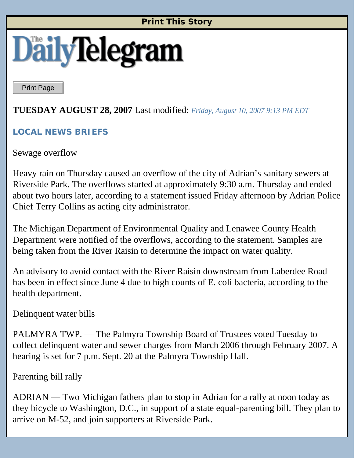### **Print This Story**

# **DailyTeleg**

Print Page

## **TUESDAY AUGUST 28, 2007** Last modified: *Friday, August 10, 2007 9:13 PM EDT*

#### **LOCAL NEWS BRIEFS**

Sewage overflow

Heavy rain on Thursday caused an overflow of the city of Adrian's sanitary sewers at Riverside Park. The overflows started at approximately 9:30 a.m. Thursday and ended about two hours later, according to a statement issued Friday afternoon by Adrian Police Chief Terry Collins as acting city administrator.

The Michigan Department of Environmental Quality and Lenawee County Health Department were notified of the overflows, according to the statement. Samples are being taken from the River Raisin to determine the impact on water quality.

An advisory to avoid contact with the River Raisin downstream from Laberdee Road has been in effect since June 4 due to high counts of E. coli bacteria, according to the health department.

Delinquent water bills

PALMYRA TWP. — The Palmyra Township Board of Trustees voted Tuesday to collect delinquent water and sewer charges from March 2006 through February 2007. A hearing is set for 7 p.m. Sept. 20 at the Palmyra Township Hall.

Parenting bill rally

ADRIAN — Two Michigan fathers plan to stop in Adrian for a rally at noon today as they bicycle to Washington, D.C., in support of a state equal-parenting bill. They plan to arrive on M-52, and join supporters at Riverside Park.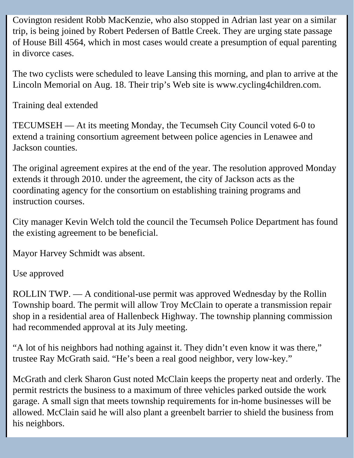Covington resident Robb MacKenzie, who also stopped in Adrian last year on a similar trip, is being joined by Robert Pedersen of Battle Creek. They are urging state passage of House Bill 4564, which in most cases would create a presumption of equal parenting in divorce cases.

The two cyclists were scheduled to leave Lansing this morning, and plan to arrive at the Lincoln Memorial on Aug. 18. Their trip's Web site is www.cycling4children.com.

Training deal extended

TECUMSEH — At its meeting Monday, the Tecumseh City Council voted 6-0 to extend a training consortium agreement between police agencies in Lenawee and Jackson counties.

The original agreement expires at the end of the year. The resolution approved Monday extends it through 2010. under the agreement, the city of Jackson acts as the coordinating agency for the consortium on establishing training programs and instruction courses.

City manager Kevin Welch told the council the Tecumseh Police Department has found the existing agreement to be beneficial.

Mayor Harvey Schmidt was absent.

Use approved

ROLLIN TWP. — A conditional-use permit was approved Wednesday by the Rollin Township board. The permit will allow Troy McClain to operate a transmission repair shop in a residential area of Hallenbeck Highway. The township planning commission had recommended approval at its July meeting.

"A lot of his neighbors had nothing against it. They didn't even know it was there," trustee Ray McGrath said. "He's been a real good neighbor, very low-key."

McGrath and clerk Sharon Gust noted McClain keeps the property neat and orderly. The permit restricts the business to a maximum of three vehicles parked outside the work garage. A small sign that meets township requirements for in-home businesses will be allowed. McClain said he will also plant a greenbelt barrier to shield the business from his neighbors.